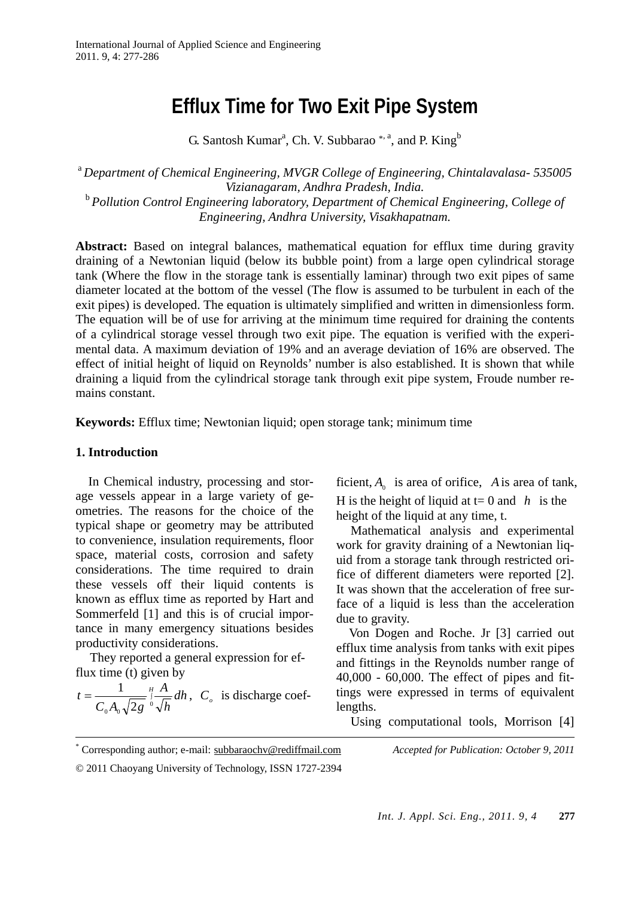# **Efflux Time for Two Exit Pipe System**

G. Santosh Kumar<sup>a</sup>, Ch. V. Subbarao<sup>\*, a</sup>, and P. King<sup>b</sup>

<sup>a</sup>*Department of Chemical Engineering, MVGR College of Engineering, Chintalavalasa- 535005 Vizianagaram, Andhra Pradesh, India.*  <sup>b</sup>*Pollution Control Engineering laboratory, Department of Chemical Engineering, College of Engineering, Andhra University, Visakhapatnam.* 

**Abstract:** Based on integral balances, mathematical equation for efflux time during gravity draining of a Newtonian liquid (below its bubble point) from a large open cylindrical storage tank (Where the flow in the storage tank is essentially laminar) through two exit pipes of same diameter located at the bottom of the vessel (The flow is assumed to be turbulent in each of the exit pipes) is developed. The equation is ultimately simplified and written in dimensionless form. The equation will be of use for arriving at the minimum time required for draining the contents of a cylindrical storage vessel through two exit pipe. The equation is verified with the experimental data. A maximum deviation of 19% and an average deviation of 16% are observed. The effect of initial height of liquid on Reynolds' number is also established. It is shown that while draining a liquid from the cylindrical storage tank through exit pipe system, Froude number remains constant.

**Keywords:** Efflux time; Newtonian liquid; open storage tank; minimum time

# **1. Introduction**

 In Chemical industry, processing and storage vessels appear in a large variety of geometries. The reasons for the choice of the typical shape or geometry may be attributed to convenience, insulation requirements, floor space, material costs, corrosion and safety considerations. The time required to drain these vessels off their liquid contents is known as efflux time as reported by Hart and Sommerfeld [1] and this is of crucial importance in many emergency situations besides productivity considerations.

They reported a general expression for efflux time (t) given by

$$
t = \frac{1}{C_0 A_0 \sqrt{2g}} \int_{0}^{H} \frac{A}{\sqrt{h}} dh, C_o \text{ is discharge coef-}
$$

ficient,  $A_0$  is area of orifice, A is area of tank, H is the height of liquid at  $t=0$  and *h* is the height of the liquid at any time, t.

Mathematical analysis and experimental work for gravity draining of a Newtonian liquid from a storage tank through restricted orifice of different diameters were reported [2]. It was shown that the acceleration of free surface of a liquid is less than the acceleration due to gravity.

Von Dogen and Roche. Jr [3] carried out efflux time analysis from tanks with exit pipes and fittings in the Reynolds number range of 40,000 - 60,000. The effect of pipes and fittings were expressed in terms of equivalent lengths.

Using computational tools, Morrison [4]

 \* Corresponding author; e-mail: subbaraochv@rediffmail.com *Accepted for Publication: October 9, 2011* © 2011 Chaoyang University of Technology, ISSN 1727-2394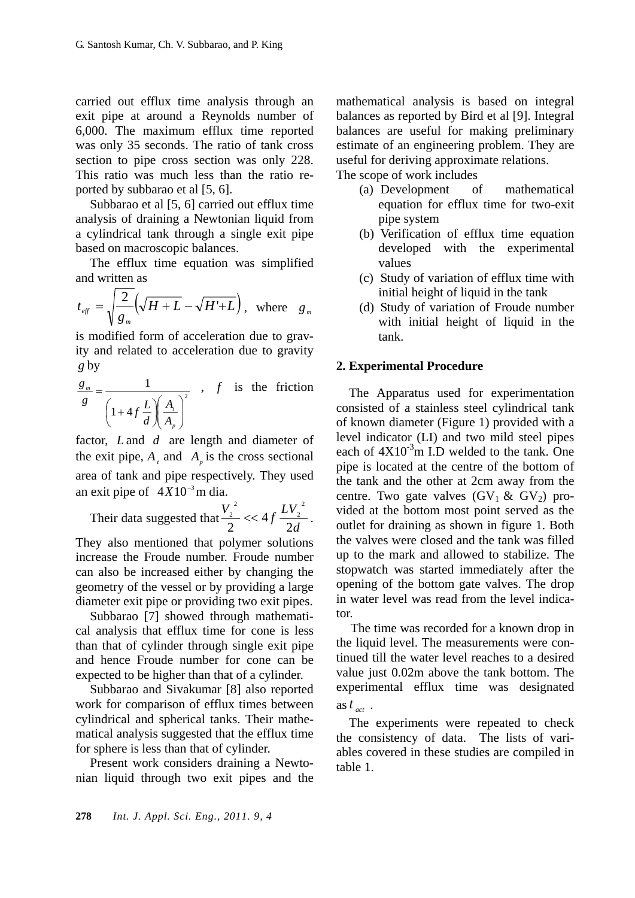carried out efflux time analysis through an exit pipe at around a Reynolds number of 6,000. The maximum efflux time reported was only 35 seconds. The ratio of tank cross section to pipe cross section was only 228. This ratio was much less than the ratio reported by subbarao et al [5, 6].

Subbarao et al [5, 6] carried out efflux time analysis of draining a Newtonian liquid from a cylindrical tank through a single exit pipe based on macroscopic balances.

The efflux time equation was simplified and written as

$$
t_{\text{eff}} = \sqrt{\frac{2}{g_{\text{m}}}} \left( \sqrt{H + L} - \sqrt{H' + L} \right), \text{ where } g_{\text{m}}
$$

is modified form of acceleration due to gravity and related to acceleration due to gravity *g* by

$$
\frac{g_m}{g} = \frac{1}{\left(1 + 4f\frac{L}{d}\right)\left(\frac{A_i}{A_p}\right)^2} , \quad f \text{ is the friction}
$$

factor, *L* and *d* are length and diameter of the exit pipe,  $A_t$  and  $A_p$  is the cross sectional area of tank and pipe respectively. They used an exit pipe of  $4X10^{-3}$  m dia.

Their data suggested that  $\frac{d^2}{2} < 4f \frac{d^2y}{2d}$  $\frac{V_2^2}{I_2}$  << 4  $f \frac{LV}{I_2}$ 2 4 2 2 2 2  $\frac{2}{2}$  << 4f  $\frac{2v_2}{2}$ .

They also mentioned that polymer solutions increase the Froude number. Froude number can also be increased either by changing the geometry of the vessel or by providing a large diameter exit pipe or providing two exit pipes.

Subbarao [7] showed through mathematical analysis that efflux time for cone is less than that of cylinder through single exit pipe and hence Froude number for cone can be expected to be higher than that of a cylinder.

Subbarao and Sivakumar [8] also reported work for comparison of efflux times between cylindrical and spherical tanks. Their mathematical analysis suggested that the efflux time for sphere is less than that of cylinder.

Present work considers draining a Newtonian liquid through two exit pipes and the mathematical analysis is based on integral balances as reported by Bird et al [9]. Integral balances are useful for making preliminary estimate of an engineering problem. They are useful for deriving approximate relations.

The scope of work includes

- (a) Development of mathematical equation for efflux time for two-exit pipe system
- (b) Verification of efflux time equation developed with the experimental values
- (c) Study of variation of efflux time with initial height of liquid in the tank
- (d) Study of variation of Froude number with initial height of liquid in the tank.

# **2. Experimental Procedure**

The Apparatus used for experimentation consisted of a stainless steel cylindrical tank of known diameter (Figure 1) provided with a level indicator (LI) and two mild steel pipes each of  $4X10^{-3}$ m I.D welded to the tank. One pipe is located at the centre of the bottom of the tank and the other at 2cm away from the centre. Two gate valves  $(GV_1 \& GV_2)$  provided at the bottom most point served as the outlet for draining as shown in figure 1. Both the valves were closed and the tank was filled up to the mark and allowed to stabilize. The stopwatch was started immediately after the opening of the bottom gate valves. The drop in water level was read from the level indicator.

The time was recorded for a known drop in the liquid level. The measurements were continued till the water level reaches to a desired value just 0.02m above the tank bottom. The experimental efflux time was designated as  $t_{\text{act}}$ .

 The experiments were repeated to check the consistency of data. The lists of variables covered in these studies are compiled in table 1.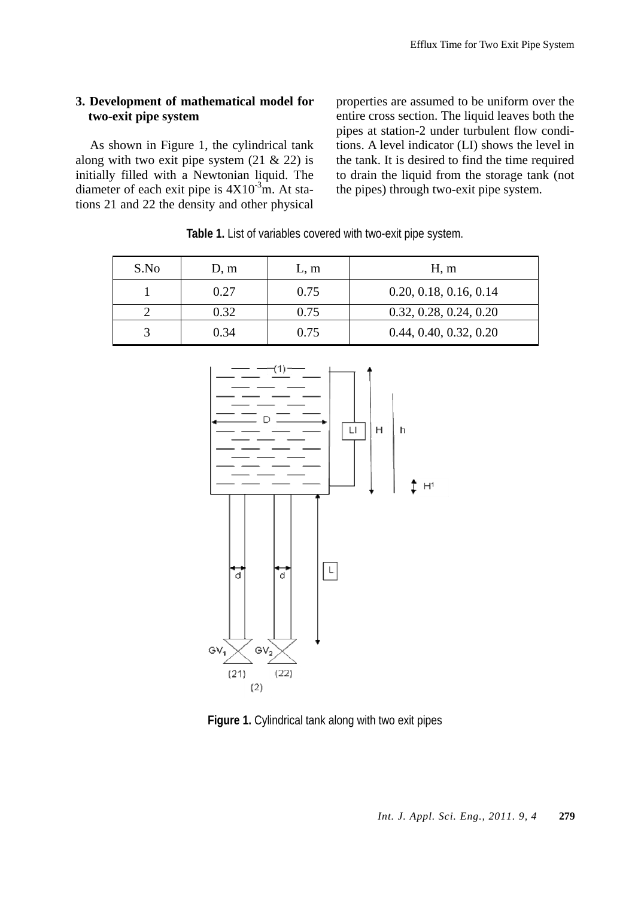# **3. Development of mathematical model for two-exit pipe system**

As shown in Figure 1, the cylindrical tank along with two exit pipe system  $(21 \& 22)$  is initially filled with a Newtonian liquid. The diameter of each exit pipe is  $4X10^{-3}$ m. At stations 21 and 22 the density and other physical properties are assumed to be uniform over the entire cross section. The liquid leaves both the pipes at station-2 under turbulent flow conditions. A level indicator (LI) shows the level in the tank. It is desired to find the time required to drain the liquid from the storage tank (not the pipes) through two-exit pipe system.

| S.No | D, m | L, m | H, m                   |
|------|------|------|------------------------|
|      | 0.27 | 0.75 | 0.20, 0.18, 0.16, 0.14 |
|      | 0.32 | 0.75 | 0.32, 0.28, 0.24, 0.20 |
|      | 0.34 | 0.75 | 0.44, 0.40, 0.32, 0.20 |

**Table 1.** List of variables covered with two-exit pipe system.



**Figure 1.** Cylindrical tank along with two exit pipes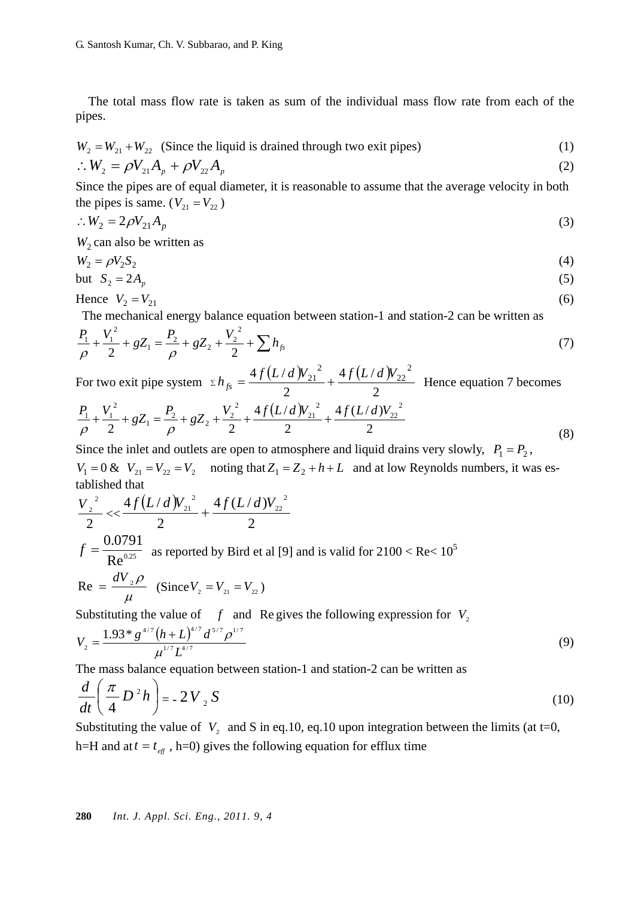The total mass flow rate is taken as sum of the individual mass flow rate from each of the pipes.

$$
W_2 = W_{21} + W_{22}
$$
 (Since the liquid is drained through two exit pipes) (1)

$$
\therefore W_2 = \rho V_{21} A_p + \rho V_{22} A_p \tag{2}
$$

Since the pipes are of equal diameter, it is reasonable to assume that the average velocity in both the pipes is same. ( $V_{21} = V_{22}$ )

$$
\therefore W_2 = 2\rho V_{21} A_p \tag{3}
$$

 $W_2$  can also be written as

$$
W_2 = \rho V_2 S_2 \tag{4}
$$

but 
$$
S_2 = 2A_p \tag{5}
$$

$$
Hence V_2 = V_{21} \tag{6}
$$

The mechanical energy balance equation between station-1 and station-2 can be written as

$$
\frac{P_1}{\rho} + \frac{V_1^2}{2} + gZ_1 = \frac{P_2}{\rho} + gZ_2 + \frac{V_2^2}{2} + \sum h_{fs}
$$
\n(7)

For two exit pipe system  $\sum h_{fs} = \frac{4f(L/d) V_{21}^2}{g(L/d)} + \frac{4f(L/d)}{g(L/d)}$ 2 4  $f(L/$ 2  $\sum h_{fs} = \frac{4f(L/d)V_{21}^{2}}{2} + \frac{4f(L/d)V_{22}^{2}}{2}$  Hence equation 7 becomes

$$
\frac{P_1}{\rho} + \frac{V_1^2}{2} + gZ_1 = \frac{P_2}{\rho} + gZ_2 + \frac{V_2^2}{2} + \frac{4f(L/d)V_{21}^2}{2} + \frac{4f(L/d)V_{22}^2}{2}
$$
\n(8)

Since the inlet and outlets are open to atmosphere and liquid drains very slowly,  $P_1 = P_2$ ,  $V_1 = 0$  &  $V_{21} = V_{22} = V_2$  noting that  $Z_1 = Z_2 + h + L$  and at low Reynolds numbers, it was established that

$$
\frac{V_2^2}{2} < \frac{4f(L/d)V_{21}^2}{2} + \frac{4f(L/d)V_{22}^2}{2}
$$
  

$$
f = \frac{0.0791}{\text{Re}^{0.25}} \text{ as reported by Bird et al [9] and is valid for } 2100 < \text{Re} < 10^5
$$
  
Re =  $\frac{dV_2 \rho}{\mu}$  (Since  $V_2 = V_{21} = V_{22}$ )

Substituting the value of  $f$  and Re gives the following expression for  $V$ <sub>2</sub>

$$
V_2 = \frac{1.93 * g^{4/7} (h+L)^{4/7} d^{5/7} \rho^{1/7}}{\mu^{1/7} L^{4/7}}
$$
(9)

The mass balance equation between station-1 and station-2 can be written as

$$
\frac{d}{dt}\left(\frac{\pi}{4}D^2h\right) = -2V_2S\tag{10}
$$

Substituting the value of  $V_2$  and S in eq.10, eq.10 upon integration between the limits (at t=0, h=H and at  $t = t_{\text{eff}}$ , h=0) gives the following equation for efflux time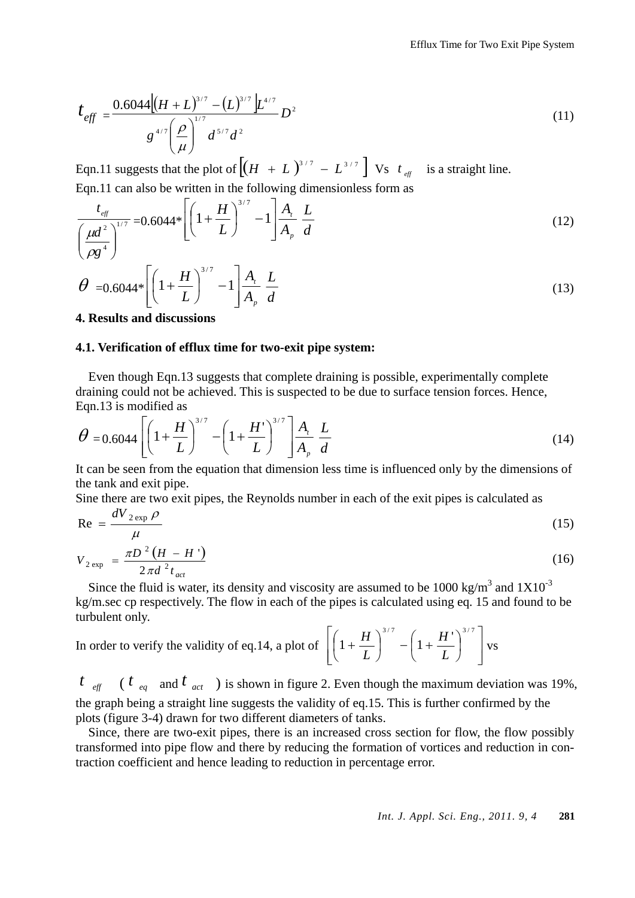$$
t_{\text{eff}} = \frac{0.6044 \left[ (H + L)^{3/7} - (L)^{3/7} \right] L^{4/7}}{g^{4/7} \left( \frac{\rho}{\mu} \right)^{1/7} d^{5/7} d^2} D^2
$$
\n(11)

Eqn.11 suggests that the plot of  $\left[ (H + L)^{3/7} - L^{3/7} \right]$  Vs  $t_{\text{eff}}$  is a straight line. Eqn.11 can also be written in the following dimensionless form as

$$
\frac{t_{\text{eff}}}{\left(\frac{\mu d^2}{\rho g^4}\right)^{1/7}} = 0.6044* \left[ \left(1 + \frac{H}{L}\right)^{3/7} - 1 \right] \frac{A_t}{A_p} \frac{L}{d}
$$
(12)

$$
\theta = 0.6044 * \left[ \left( 1 + \frac{H}{L} \right)^{3/7} - 1 \right] \frac{A_i}{A_p} \frac{L}{d}
$$
\n(13)

## **4. Results and discussions**

## **4.1. Verification of efflux time for two-exit pipe system:**

Even though Eqn.13 suggests that complete draining is possible, experimentally complete draining could not be achieved. This is suspected to be due to surface tension forces. Hence, Eqn.13 is modified as

$$
\theta = 0.6044 \left[ \left( 1 + \frac{H}{L} \right)^{3/7} - \left( 1 + \frac{H'}{L} \right)^{3/7} \right] \frac{A_t}{A_p} \frac{L}{d}
$$
\n(14)

It can be seen from the equation that dimension less time is influenced only by the dimensions of the tank and exit pipe.

Sine there are two exit pipes, the Reynolds number in each of the exit pipes is calculated as

$$
\text{Re} = \frac{dV_{2\exp}\rho}{\mu} \tag{15}
$$

$$
V_{2\exp} = \frac{\pi D^2 (H - H')}{2\pi d^2 t_{act}}
$$
 (16)

Since the fluid is water, its density and viscosity are assumed to be 1000 kg/m<sup>3</sup> and  $1X10^{-3}$ kg/m.sec cp respectively. The flow in each of the pipes is calculated using eq. 15 and found to be turbulent only.

In order to verify the validity of eq.14, a plot of 
$$
\left[\left(1 + \frac{H}{L}\right)^{3/7} - \left(1 + \frac{H}{L}\right)^{3/7}\right] \text{vs}
$$

 $t_{\text{eff}}$  (  $t_{\text{eq}}$  and  $t_{\text{act}}$  ) is shown in figure 2. Even though the maximum deviation was 19%, the graph being a straight line suggests the validity of eq.15. This is further confirmed by the plots (figure 3-4) drawn for two different diameters of tanks.

Since, there are two-exit pipes, there is an increased cross section for flow, the flow possibly transformed into pipe flow and there by reducing the formation of vortices and reduction in contraction coefficient and hence leading to reduction in percentage error.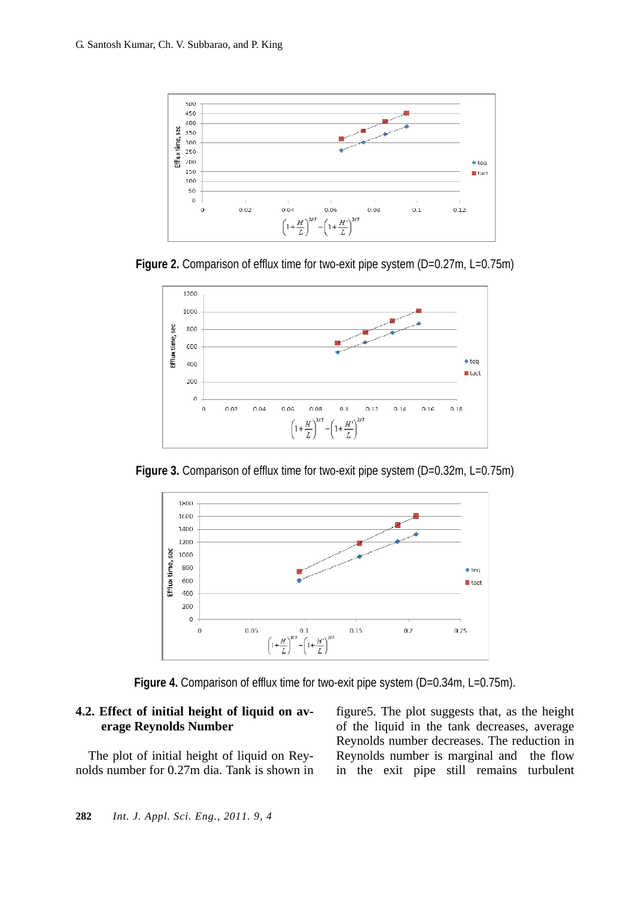

**Figure 2.** Comparison of efflux time for two-exit pipe system (D=0.27m, L=0.75m)



**Figure 3.** Comparison of efflux time for two-exit pipe system (D=0.32m, L=0.75m)



Figure 4. Comparison of efflux time for two-exit pipe system (D=0.34m, L=0.75m).

# **4.2. Effect of initial height of liquid on average Reynolds Number**

The plot of initial height of liquid on Reynolds number for 0.27m dia. Tank is shown in figure5. The plot suggests that, as the height of the liquid in the tank decreases, average Reynolds number decreases. The reduction in Reynolds number is marginal and the flow in the exit pipe still remains turbulent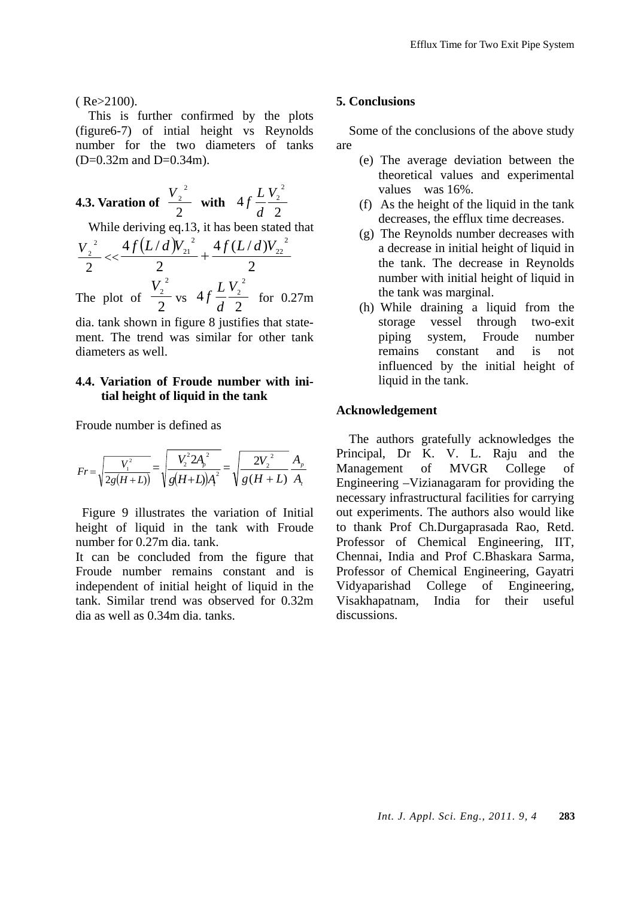$($  Re $>2100$ ).

This is further confirmed by the plots (figure6-7) of intial height vs Reynolds number for the two diameters of tanks  $(D=0.32m$  and  $D=0.34m$ ).

**4.3. Variation of** 
$$
\frac{V_2^2}{2}
$$
 with  $4f\frac{L}{d}\frac{V_2^2}{2}$ 

While deriving eq.13, it has been stated that

$$
\frac{V_2^2}{2} < \frac{4f(L/d)V_{21}^2}{2} + \frac{4f(L/d)V_{22}^2}{2}
$$
  
The plot of  $\frac{V_2^2}{2}$  vs  $4f\frac{LV_2^2}{d^2}$  for 0.27m

dia. tank shown in figure 8 justifies that statement. The trend was similar for other tank diameters as well.

# **4.4. Variation of Froude number with initial height of liquid in the tank**

Froude number is defined as

$$
Fr = \sqrt{\frac{V_1^2}{2g(H+L)}} = \sqrt{\frac{V_2^2 2A_p^2}{g(H+L)A^2}} = \sqrt{\frac{2V_2^2}{g(H+L)}} \frac{A_p}{A_t}
$$

Figure 9 illustrates the variation of Initial height of liquid in the tank with Froude number for 0.27m dia. tank.

It can be concluded from the figure that Froude number remains constant and is independent of initial height of liquid in the tank. Similar trend was observed for 0.32m dia as well as 0.34m dia. tanks.

#### **5. Conclusions**

Some of the conclusions of the above study are

- (e) The average deviation between the theoretical values and experimental values was 16%.
- (f) As the height of the liquid in the tank decreases, the efflux time decreases.
- (g) The Reynolds number decreases with a decrease in initial height of liquid in the tank. The decrease in Reynolds number with initial height of liquid in the tank was marginal.
- (h) While draining a liquid from the storage vessel through two-exit piping system, Froude number remains constant and is not influenced by the initial height of liquid in the tank.

#### **Acknowledgement**

The authors gratefully acknowledges the Principal, Dr K. V. L. Raju and the Management of MVGR College of Engineering –Vizianagaram for providing the necessary infrastructural facilities for carrying out experiments. The authors also would like to thank Prof Ch.Durgaprasada Rao, Retd. Professor of Chemical Engineering, IIT, Chennai, India and Prof C.Bhaskara Sarma, Professor of Chemical Engineering, Gayatri Vidyaparishad College of Engineering, Visakhapatnam, India for their useful discussions.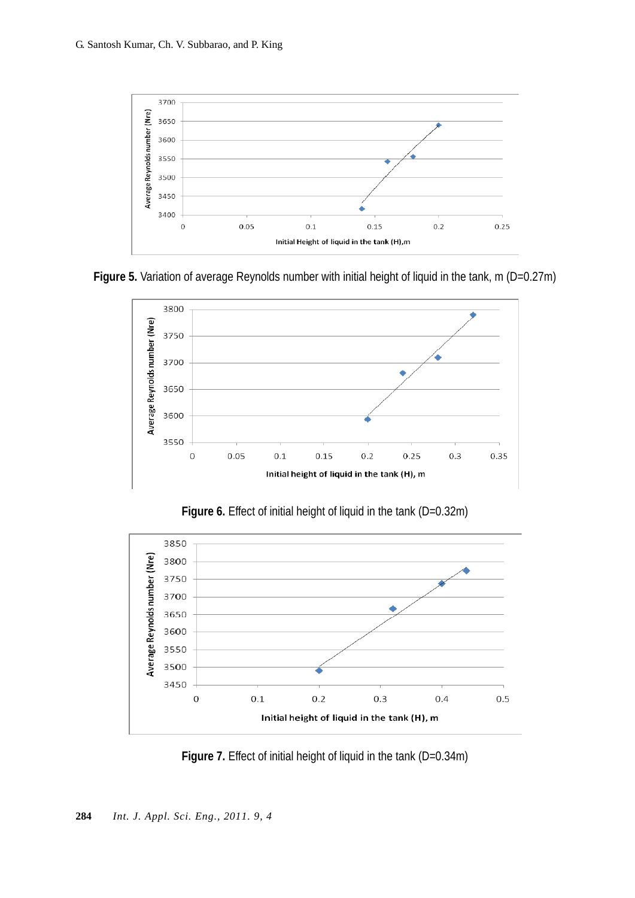

**Figure 5.** Variation of average Reynolds number with initial height of liquid in the tank, m (D=0.27m)



Figure 6. Effect of initial height of liquid in the tank (D=0.32m)



Figure 7. Effect of initial height of liquid in the tank (D=0.34m)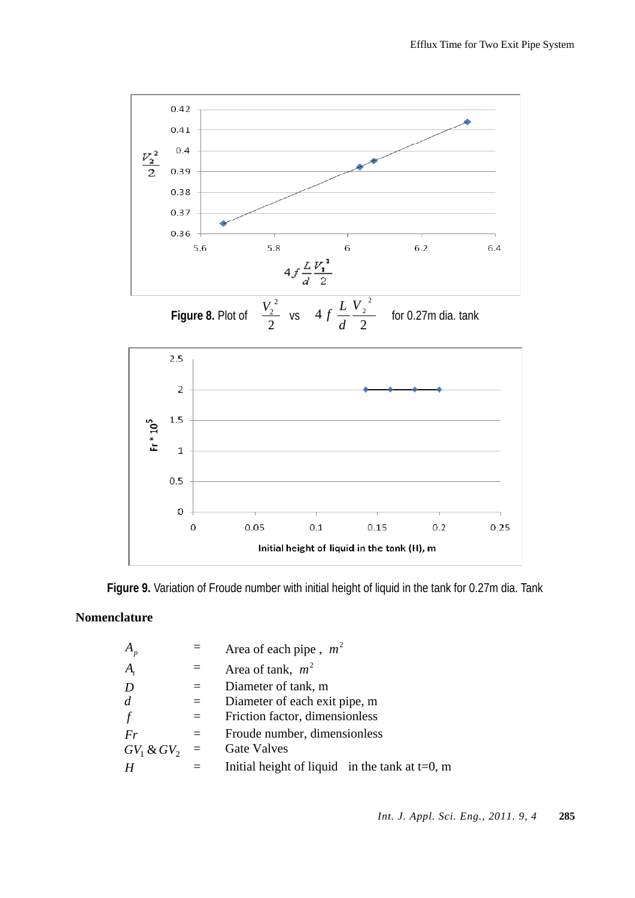



**Figure 9.** Variation of Froude number with initial height of liquid in the tank for 0.27m dia. Tank

# **Nomenclature**

| $A_{p}$           |          | Area of each pipe, $m^2$                          |
|-------------------|----------|---------------------------------------------------|
| $\boldsymbol{A}$  |          | Area of tank, $m^2$                               |
| D                 | $=$      | Diameter of tank, m                               |
| $\overline{d}$    | $\equiv$ | Diameter of each exit pipe, m                     |
| $\int$            |          | Friction factor, dimensionless                    |
| Fr                | $=$      | Froude number, dimensionless                      |
| $GV_1\,\&\, GV_2$ | $\equiv$ | <b>Gate Valves</b>                                |
| H                 |          | Initial height of liquid in the tank at $t=0$ , m |